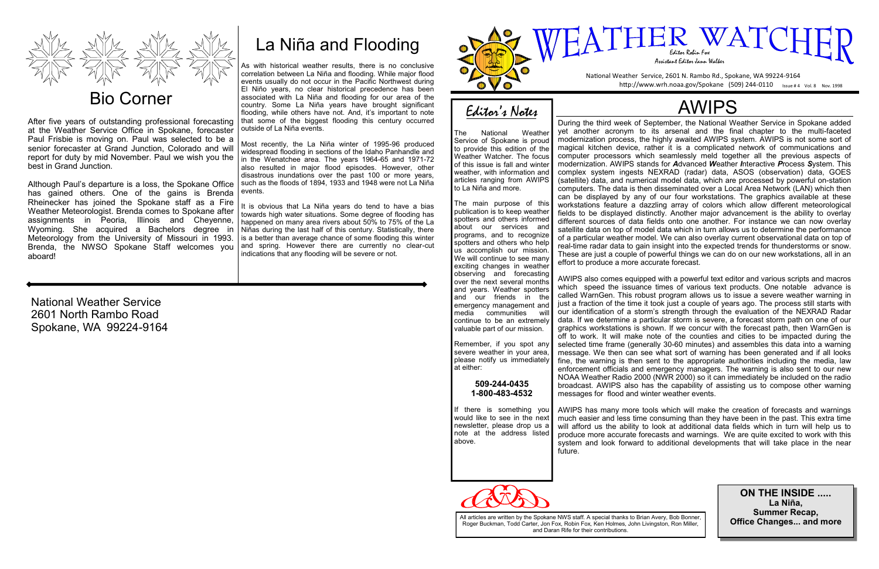National Weather Service 2601 North Rambo Road Spokane, WA 99224-9164



# Bio Corner

After five years of outstanding professional forecasting at the Weather Service Office in Spokane, forecaster Paul Frisbie is moving on. Paul was selected to be a senior forecaster at Grand Junction, Colorado and will report for duty by mid November. Paul we wish you the best in Grand Junction.

Although Paul's departure is a loss, the Spokane Office has gained others. One of the gains is Brenda Rheinecker has joined the Spokane staff as a Fire Weather Meteorologist. Brenda comes to Spokane after assignments in Peoria, Illinois and Cheyenne, Wyoming. She acquired a Bachelors degree in Meteorology from the University of Missouri in 1993. Brenda, the NWSO Spokane Staff welcomes you aboard!

# Editor's Notes

The National Weather Service of Spokane is proud to provide this edition of the Weather Watcher. The focus of this issue is fall and winter weather, with information and articles ranging from AWIPS to La Niña and more.

The main purpose of this publication is to keep weather spotters and others informed about our services and programs, and to recognize spotters and others who help us accomplish our mission. We will continue to see many exciting changes in weather observing and forecasting over the next several months and years. Weather spotters and our friends in the emergency management and media communities will continue to be an extremely valuable part of our mission.



Remember, if you spot any severe weather in your area, please notify us immediately at either:

> **509-244-0435 1-800-483-4532**

If there is something you would like to see in the next newsletter, please drop us a note at the address listed above.



# AWIPS

During the third week of September, the National Weather Service in Spokane added yet another acronym to its arsenal and the final chapter to the multi-faceted modernization process, the highly awaited AWIPS system. AWIPS is not some sort of magical kitchen device, rather it is a complicated network of communications and computer processors which seamlessly meld together all the previous aspects of modernization. AWIPS stands for *A*dvanced *W*eather *I*nteractive *P*rocess *S*ystem. This complex system ingests NEXRAD (radar) data, ASOS (observation) data, GOES (satellite) data, and numerical model data, which are processed by powerful on-station computers. The data is then disseminated over a Local Area Network (LAN) which then can be displayed by any of our four workstations. The graphics available at these workstations feature a dazzling array of colors which allow different meteorological fields to be displayed distinctly. Another major advancement is the ability to overlay different sources of data fields onto one another. For instance we can now overlay satellite data on top of model data which in turn allows us to determine the performance of a particular weather model. We can also overlay current observational data on top of real-time radar data to gain insight into the expected trends for thunderstorms or snow. These are just a couple of powerful things we can do on our new workstations, all in an effort to produce a more accurate forecast.

AWIPS also comes equipped with a powerful text editor and various scripts and macros which speed the issuance times of various text products. One notable advance is called WarnGen. This robust program allows us to issue a severe weather warning in just a fraction of the time it took just a couple of years ago. The process still starts with our identification of a storm's strength through the evaluation of the NEXRAD Radar data. If we determine a particular storm is severe, a forecast storm path on one of our graphics workstations is shown. If we concur with the forecast path, then WarnGen is off to work. It will make note of the counties and cities to be impacted during the selected time frame (generally 30-60 minutes) and assembles this data into a warning message. We then can see what sort of warning has been generated and if all looks fine, the warning is then sent to the appropriate authorities including the media, law enforcement officials and emergency managers. The warning is also sent to our new NOAA Weather Radio 2000 (NWR 2000) so it can immediately be included on the radio broadcast. AWIPS also has the capability of assisting us to compose other warning messages for flood and winter weather events.

AWIPS has many more tools which will make the creation of forecasts and warnings much easier and less time consuming than they have been in the past. This extra time will afford us the ability to look at additional data fields which in turn will help us to produce more accurate forecasts and warnings. We are quite excited to work with this system and look forward to additional developments that will take place in the near

future.

**ON THE INSIDE ..... La Niña, Summer Recap, Office Changes... and more**

# La Niña and Flooding

As with historical weather results, there is no conclusive correlation between La Niña and flooding. While major flood events usually do not occur in the Pacific Northwest during El Niño years, no clear historical precedence has been associated with La Niña and flooding for our area of the country. Some La Niña years have brought significant flooding, while others have not. And, it's important to note that some of the biggest flooding this century occurred outside of La Niña events.

Most recently, the La Niña winter of 1995-96 produced widespread flooding in sections of the Idaho Panhandle and in the Wenatchee area. The years 1964-65 and 1971-72 also resulted in major flood episodes. However, other disastrous inundations over the past 100 or more years, such as the floods of 1894, 1933 and 1948 were not La Niña events.

It is obvious that La Niña years do tend to have a bias towards high water situations. Some degree of flooding has happened on many area rivers about 50% to 75% of the La Niñas during the last half of this century. Statistically, there is a better than average chance of some flooding this winter and spring. However there are currently no clear-cut indications that any flooding will be severe or not.

> All articles are written by the Spokane NWS staff. A special thanks to Brian Avery, Bob Bonner, Roger Buckman, Todd Carter, Jon Fox, Robin Fox, Ken Holmes, John Livingston, Ron Miller, and Daran Rife for their contributions.